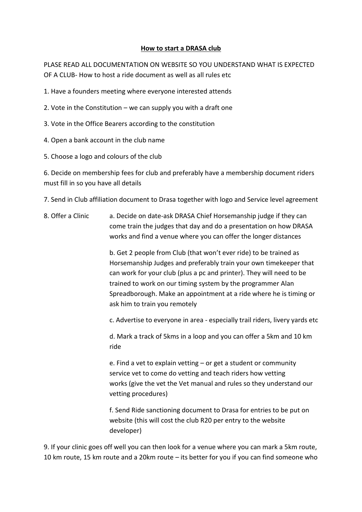## **How to start a DRASA club**

PLASE READ ALL DOCUMENTATION ON WEBSITE SO YOU UNDERSTAND WHAT IS EXPECTED OF A CLUB- How to host a ride document as well as all rules etc

- 1. Have a founders meeting where everyone interested attends
- 2. Vote in the Constitution we can supply you with a draft one
- 3. Vote in the Office Bearers according to the constitution
- 4. Open a bank account in the club name
- 5. Choose a logo and colours of the club

6. Decide on membership fees for club and preferably have a membership document riders must fill in so you have all details

- 7. Send in Club affiliation document to Drasa together with logo and Service level agreement
- 8. Offer a Clinic a. Decide on date-ask DRASA Chief Horsemanship judge if they can come train the judges that day and do a presentation on how DRASA works and find a venue where you can offer the longer distances

b. Get 2 people from Club (that won't ever ride) to be trained as Horsemanship Judges and preferably train your own timekeeper that can work for your club (plus a pc and printer). They will need to be trained to work on our timing system by the programmer Alan Spreadborough. Make an appointment at a ride where he is timing or ask him to train you remotely

c. Advertise to everyone in area - especially trail riders, livery yards etc

d. Mark a track of 5kms in a loop and you can offer a 5km and 10 km ride

e. Find a vet to explain vetting – or get a student or community service vet to come do vetting and teach riders how vetting works (give the vet the Vet manual and rules so they understand our vetting procedures)

f. Send Ride sanctioning document to Drasa for entries to be put on website (this will cost the club R20 per entry to the website developer)

9. If your clinic goes off well you can then look for a venue where you can mark a 5km route, 10 km route, 15 km route and a 20km route – its better for you if you can find someone who